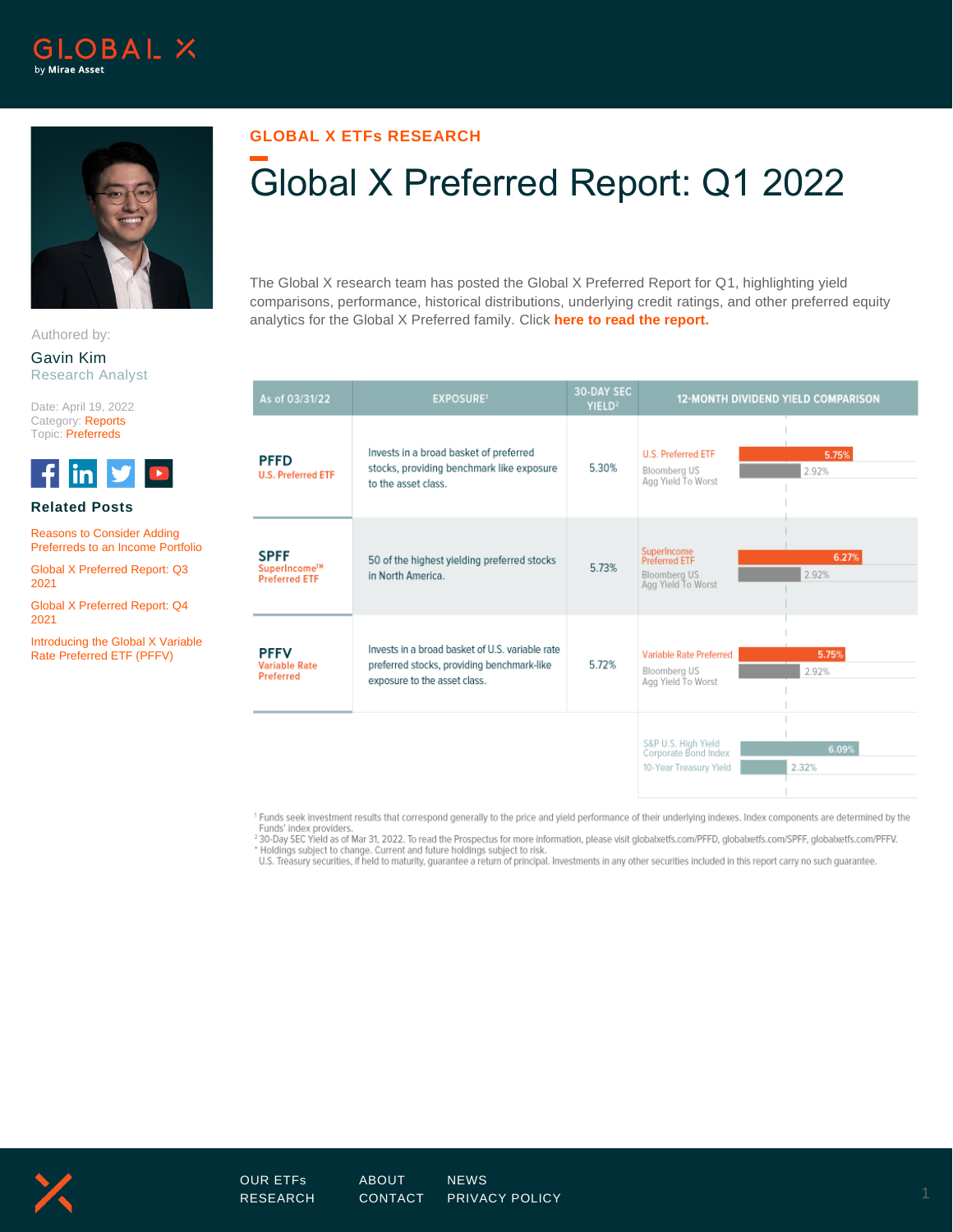



Authored by:

Gavin Kim Research Analyst

Date: April 19, 2022 Category: Reports Topic: Preferreds



## **Related Posts**

[Reasons to Consider Adding](https://www.globalxetfs.com/reasons-to-consider-adding-preferreds-to-an-income-portfolio/)  [Preferreds to an Income Portfolio](https://www.globalxetfs.com/reasons-to-consider-adding-preferreds-to-an-income-portfolio/)

[Global X Preferred Report: Q3](https://www.globalxetfs.com/content/files/Preferreds-Rpt-Q3_2021.pdf) [2021](https://www.globalxetfs.com/content/files/Preferreds-Rpt-Q3_2021.pdf)

[Global X Preferred Report: Q4](https://www.globalxetfs.com/content/files/Preferreds-Report-Q4_2021.pdf) [2021](https://www.globalxetfs.com/content/files/Preferreds-Report-Q4_2021.pdf)

[Introducing the Global X Variable](https://www.globalxetfs.com/introducing-the-global-x-variable-rate-preferred-etf-pffv/)  [Rate Preferred ETF \(PFFV\)](https://www.globalxetfs.com/introducing-the-global-x-variable-rate-preferred-etf-pffv/)

## **GLOBAL X ETFs RESEARCH**

## Global X Preferred Report: Q1 2022

The Global X research team has posted the Global X Preferred Report for Q1, highlighting yield comparisons, performance, historical distributions, underlying credit ratings, and other preferred equity analytics for the Global X Preferred family. Click **[here to read the report.](https://www.globalxetfs.com/content/files/Q1-Preferreds-Rpt.pdf)**

| As of 03/31/22                                      | <b>EXPOSURE'</b>                                                                                                              | 30-DAY SEC<br>YIELD <sup>2</sup> | 12-MONTH DIVIDEND YIELD COMPARISON                                                          |
|-----------------------------------------------------|-------------------------------------------------------------------------------------------------------------------------------|----------------------------------|---------------------------------------------------------------------------------------------|
| <b>PFFD</b><br><b>U.S. Preferred ETF</b>            | Invests in a broad basket of preferred<br>stocks, providing benchmark like exposure<br>to the asset class.                    | 5.30%                            | <b>U.S. Preferred ETF</b><br>5.75%<br><b>Bloomberg US</b><br>2.92%<br>Agg Yield To Worst    |
| <b>SPFF</b><br>SuperIncome™<br><b>Preferred ETF</b> | 50 of the highest yielding preferred stocks<br>in North America.                                                              | 5.73%                            | SuperIncome<br>Preferred ETF<br>6.27%<br>2.92%<br><b>Bloomberg US</b><br>Agg Yield To Worst |
| <b>PFFV</b><br><b>Variable Rate</b><br>Preferred    | Invests in a broad basket of U.S. variable rate<br>preferred stocks, providing benchmark-like<br>exposure to the asset class. | 5.72%                            | 5.75%<br>Variable Rate Preferred<br>2.92%<br><b>Bloomberg US</b><br>Agg Yield To Worst      |
|                                                     |                                                                                                                               |                                  | S&P U.S. High Yield<br>6.09%<br>Corporate Bond Index<br>10-Year Treasury Yield<br>2.32%     |

<sup>1</sup> Funds seek investment results that correspond generally to the price and yield performance of their underlying indexes. Index components are determined by the Funds' index providers.<br>The State of Mar 31, 2022. To read the Prospectus for more information, please visit globalxetfs.com/PFFD, globalxetfs.com/SPFF, globalxetfs.com/PFFV.

\* Holdings subject to change. Current and future holdings subject to risk.

U.S. Treasury securities, if held to maturity, guarantee a return of principal. Investments in any other securities included in this report carry no such guarantee.



[RESEARCH](https://www.globalxetfs.com/research/) [CONTACT](https://www.globalxetfs.com/contact/) [PRIVACY POLICY](https://www.globalxetfs.com/privacy/) 1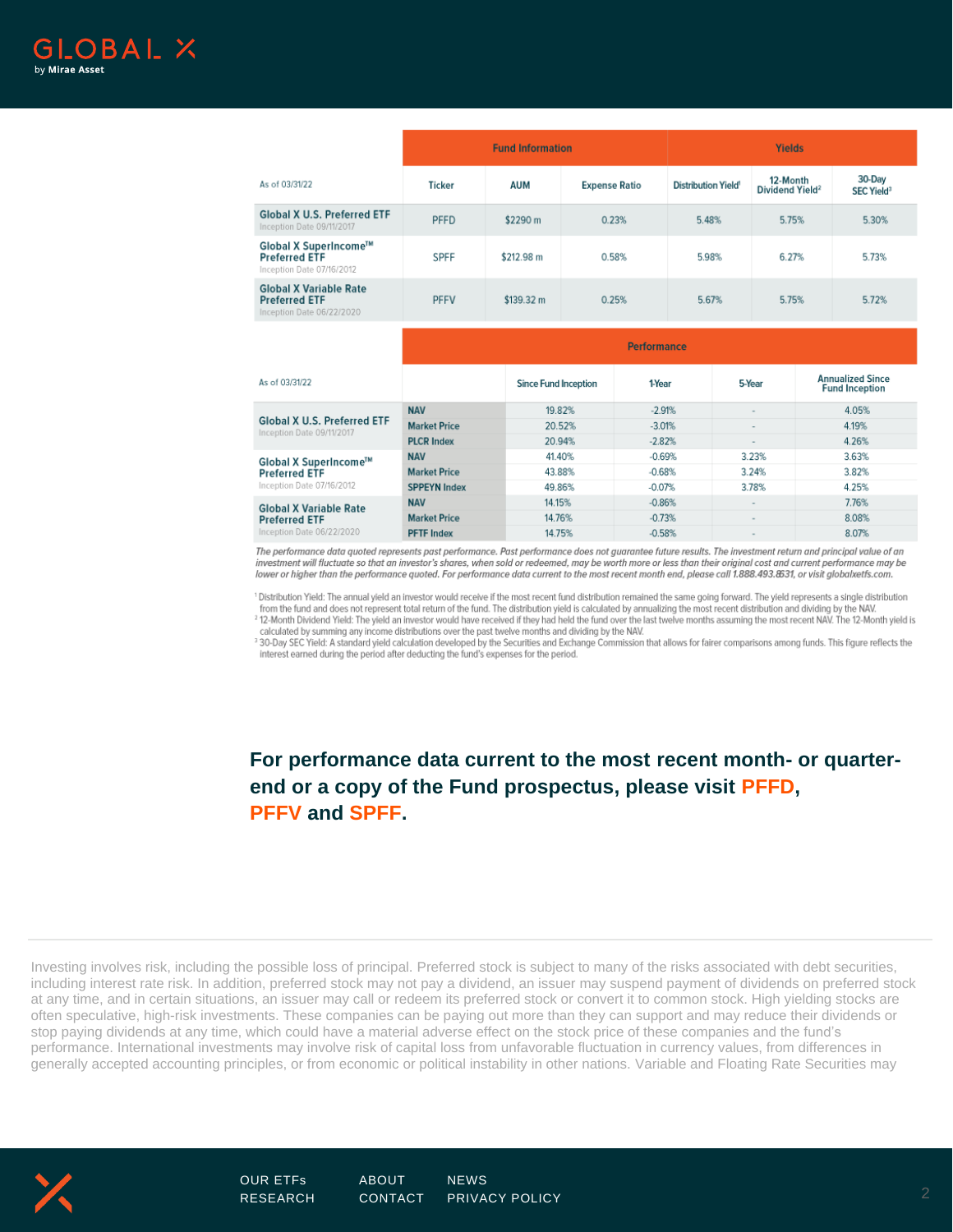

|                                                                                    | <b>Fund Information</b>     |            |                      | <b>Yields</b> |                                       |        |                                                  |  |                                  |  |
|------------------------------------------------------------------------------------|-----------------------------|------------|----------------------|---------------|---------------------------------------|--------|--------------------------------------------------|--|----------------------------------|--|
| As of 03/31/22                                                                     | <b>Ticker</b>               | <b>AUM</b> | <b>Expense Ratio</b> |               | <b>Distribution Yield<sup>®</sup></b> |        | 12-Month<br>Dividend Yield <sup>2</sup>          |  | 30-Day<br>SEC Yield <sup>3</sup> |  |
| <b>Global X U.S. Preferred ETF</b><br>Inception Date 09/11/2017                    | <b>PFFD</b>                 | \$2290 m   |                      | 0.23%         | 5.48%                                 |        | 5.75%                                            |  | 5.30%                            |  |
| Global X SuperIncome™<br><b>Preferred ETF</b><br>Inception Date 07/16/2012         | <b>SPFF</b>                 | \$212.98 m |                      | 0.58%         | 5.98%                                 |        | 6.27%                                            |  | 5.73%                            |  |
| <b>Global X Variable Rate</b><br><b>Preferred ETF</b><br>Inception Date 06/22/2020 | <b>PFFV</b>                 | \$139.32 m |                      | 0.25%         | 5.67%                                 |        | 5.75%                                            |  | 5.72%                            |  |
|                                                                                    | <b>Performance</b>          |            |                      |               |                                       |        |                                                  |  |                                  |  |
| As of 03/31/22                                                                     | <b>Since Fund Inception</b> |            | 1-Year               | 5-Year        |                                       |        | <b>Annualized Since</b><br><b>Fund Inception</b> |  |                                  |  |
|                                                                                    | <b>NAV</b>                  |            | 19.82%               | $-2.91%$      |                                       | $\sim$ |                                                  |  | 4.05%                            |  |
| <b>Global X U.S. Preferred ETF</b><br>Incorporation Both ABM419847                 | <b>Market Price</b>         |            | 20.52%               |               | $-3.01%$                              |        | $\overline{\phantom{a}}$                         |  | 4.19%                            |  |

| Inception Date 09/11/2017                                                          | MCIKEL FIILE        | 20.JZ 10 | $-0.01/0$ |                          | 7.130 |
|------------------------------------------------------------------------------------|---------------------|----------|-----------|--------------------------|-------|
|                                                                                    | <b>PLCR Index</b>   | 20.94%   | $-2.82%$  |                          | 4.26% |
| Global X SuperIncome™<br><b>Preferred ETF</b><br>Inception Date 07/16/2012         | <b>NAV</b>          | 41.40%   | $-0.69%$  | 3.23%                    | 3.63% |
|                                                                                    | <b>Market Price</b> | 43.88%   | $-0.68%$  | 3.24%                    | 3.82% |
|                                                                                    | <b>SPPEYN Index</b> | 49.86%   | $-0.07%$  | 3.78%                    | 4.25% |
| <b>Global X Variable Rate</b><br><b>Preferred ETF</b><br>Inception Date 06/22/2020 | <b>NAV</b>          | 14.15%   | $-0.86%$  | $\overline{\phantom{a}}$ | 7.76% |
|                                                                                    | <b>Market Price</b> | 14.76%   | $-0.73%$  |                          | 8.08% |
|                                                                                    | <b>PFTF</b> Index   | 14.75%   | $-0.58%$  |                          | 8.07% |

The performance data quoted represents past performance. Past performance does not guarantee future results. The investment return and principal value of an investment will fluctuate so that an investor's shares, when sold or redeemed, may be worth more or less than their original cost and current performance may be lower or higher than the performance quoted. For performance data current to the most recent month end, please call 1.888.493.8531, or visit globalxetfs.com.

<sup>1</sup> Distribution Yield: The annual yield an investor would receive if the most recent fund distribution remained the same going forward. The yield represents a single distribution<br>from the fund and does not represent total <sup>2</sup> 12-Month Dividend Yield: The yield an investor would have received if they had held the fund over the last twelve months assuming the most recent NAV. The 12-Month yield is

calculated by summing any income distributions over the past twelve months and dividing by the NAV. <sup>3</sup> 30-Day SEC Yield: A standard yield calculation developed by the Securities and Exchange Commission that allows for fairer comparisons among funds. This figure reflects the

interest earned during the period after deducting the fund's expenses for the period.

**For performance data current to the most recent month- or quarterend or a copy of the Fund prospectus, please visit [PFFD,](https://www.globalxetfs.com/funds/pffd/) [PFFV](https://www.globalxetfs.com/funds/pffv/) and [SPFF.](https://www.globalxetfs.com/funds/spff/)**

Investing involves risk, including the possible loss of principal. Preferred stock is subject to many of the risks associated with debt securities, including interest rate risk. In addition, preferred stock may not pay a dividend, an issuer may suspend payment of dividends on preferred stock at any time, and in certain situations, an issuer may call or redeem its preferred stock or convert it to common stock. High yielding stocks are often speculative, high-risk investments. These companies can be paying out more than they can support and may reduce their dividends or stop paying dividends at any time, which could have a material adverse effect on the stock price of these companies and the fund's performance. International investments may involve risk of capital loss from unfavorable fluctuation in currency values, from differences in generally accepted accounting principles, or from economic or political instability in other nations. Variable and Floating Rate Securities may